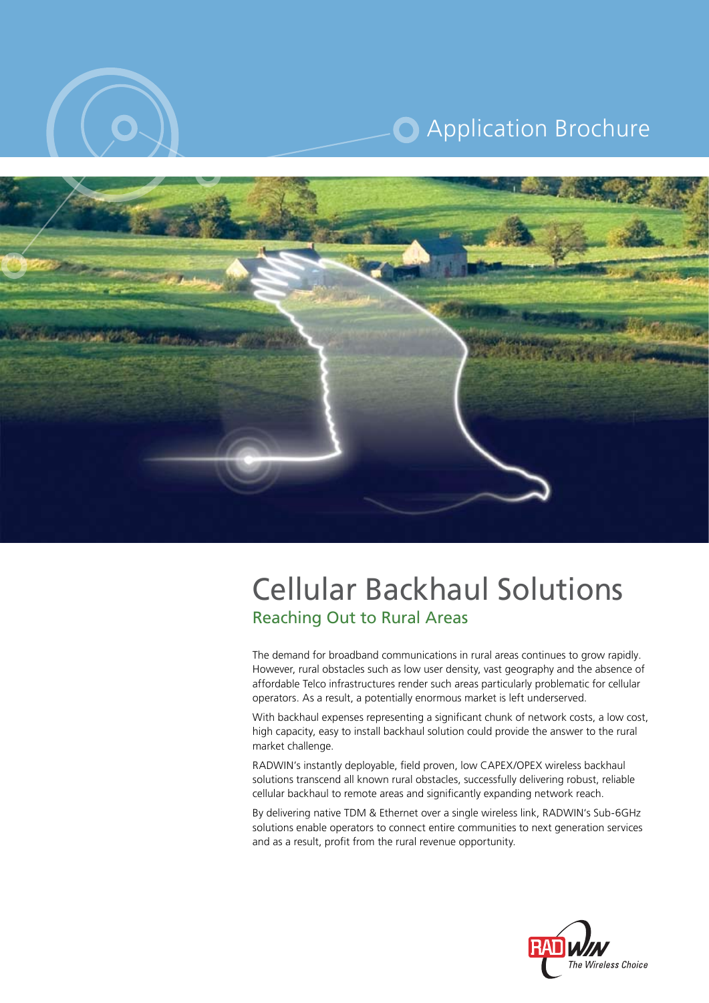

# **O** Application Brochure



# **Reaching Out to Rural Areas Cellular Backhaul Solutions**

The demand for broadband communications in rural areas continues to grow rapidly. However, rural obstacles such as low user density, vast geography and the absence of affordable Telco infrastructures render such areas particularly problematic for cellular operators. As a result, a potentially enormous market is left underserved.

With backhaul expenses representing a significant chunk of network costs, a low cost, high capacity, easy to install backhaul solution could provide the answer to the rural market challenge.

RADWIN's instantly deployable, field proven, low CAPEX/OPEX wireless backhaul solutions transcend all known rural obstacles, successfully delivering robust, reliable cellular backhaul to remote areas and significantly expanding network reach.

By delivering native TDM & Ethernet over a single wireless link, RADWIN's Sub-6GHz solutions enable operators to connect entire communities to next generation services and as a result, profit from the rural revenue opportunity.

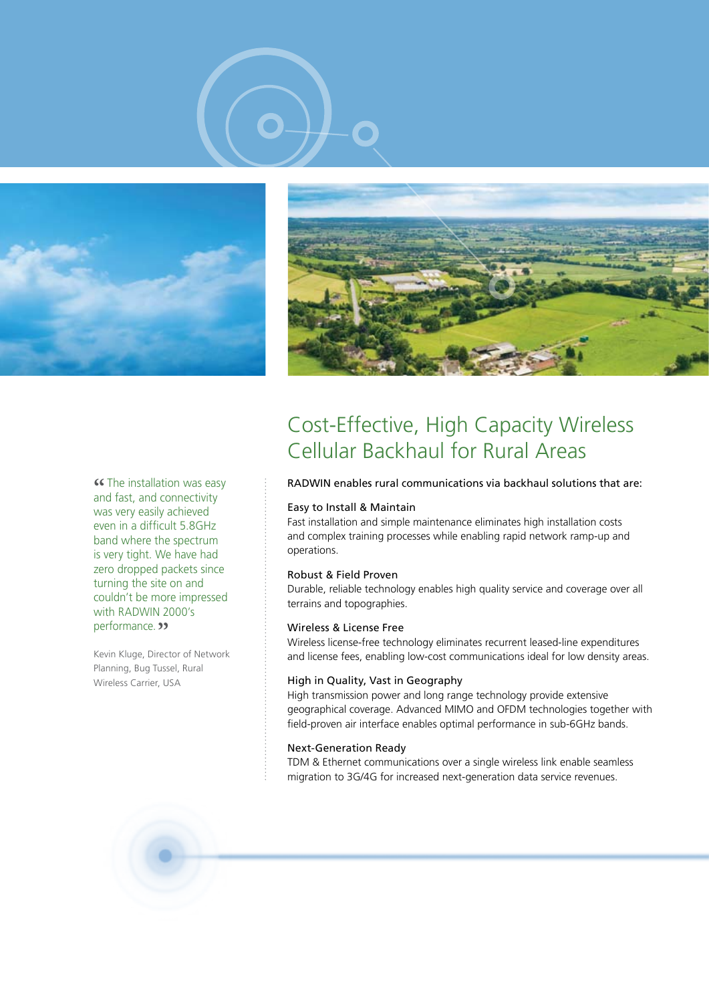





**Example installation was easy and fast, and connectivity** and fast, and connectivity was very easily achieved even in a difficult 5.8 GHz band where the spectrum is very tight. We have had zero dropped packets since turning the site on and couldn't be more impressed with RADWIN 2000's performance. **"** 

Kevin Kluge, Director of Network Planning, Bug Tussel, Rural Wireless Carrier, USA

## Cost-Effective, High Capacity Wireless Cellular Backhaul for Rural Areas

#### RADWIN enables rural communications via backhaul solutions that are:

#### Easy to Install & Maintain

Fast installation and simple maintenance eliminates high installation costs and complex training processes while enabling rapid network ramp-up and .operations

#### Robust & Field Proven

Durable, reliable technology enables high quality service and coverage over all terrains and topographies.

#### Wireless & License Free

Wireless license-free technology eliminates recurrent leased-line expenditures and license fees, enabling low-cost communications ideal for low density areas.

#### High in Quality, Vast in Geography

High transmission power and long range technology provide extensive geographical coverage. Advanced MIMO and OFDM technologies together with field-proven air interface enables optimal performance in sub-6GHz bands.

#### **Next-Generation Ready**

TDM & Ethernet communications over a single wireless link enable seamless migration to 3G/4G for increased next-generation data service revenues.

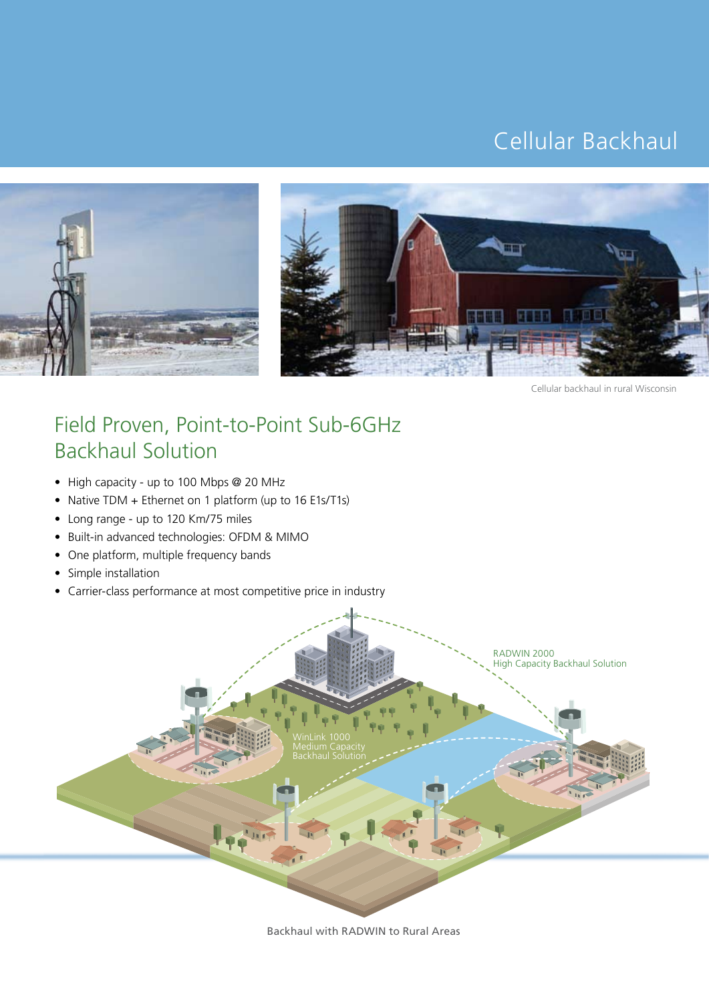# Cellular Backhaul





Cellular backhaul in rural Wisconsin

## Field Proven, Point-to-Point Sub-6GHz **Backhaul Solution**

- High capacity up to 100 Mbps @ 20 MHz
- Native TDM + Ethernet on 1 platform (up to 16 E1s/T1s)
- Long range up to 120 Km/75 miles
- Built-in advanced technologies: OFDM & MIMO
- One platform, multiple frequency bands
- Simple installation
- Carrier-class performance at most competitive price in industry



Backhaul with RADWIN to Rural Areas